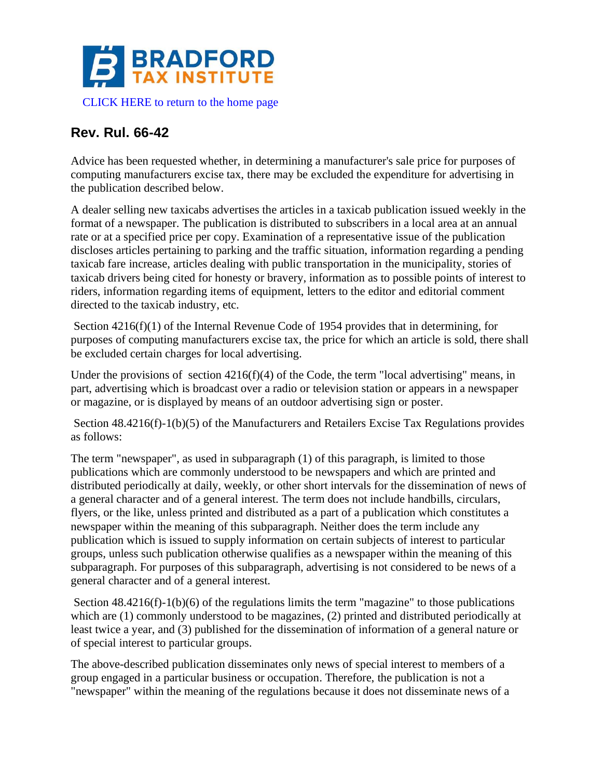

## **Rev. Rul. 66-42**

Advice has been requested whether, in determining a manufacturer's sale price for purposes of computing manufacturers excise tax, there may be excluded the expenditure for advertising in the publication described below.

A dealer selling new taxicabs advertises the articles in a taxicab publication issued weekly in the format of a newspaper. The publication is distributed to subscribers in a local area at an annual rate or at a specified price per copy. Examination of a representative issue of the publication discloses articles pertaining to parking and the traffic situation, information regarding a pending taxicab fare increase, articles dealing with public transportation in the municipality, stories of taxicab drivers being cited for honesty or bravery, information as to possible points of interest to riders, information regarding items of equipment, letters to the editor and editorial comment directed to the taxicab industry, etc.

Section 4216(f)(1) of the Internal Revenue Code of 1954 provides that in determining, for purposes of computing manufacturers excise tax, the price for which an article is sold, there shall be excluded certain charges for local advertising.

Under the provisions of section 4216(f)(4) of the Code, the term "local advertising" means, in part, advertising which is broadcast over a radio or television station or appears in a newspaper or magazine, or is displayed by means of an outdoor advertising sign or poster.

Section 48.4216(f)-1(b)(5) of the Manufacturers and Retailers Excise Tax Regulations provides as follows:

The term "newspaper", as used in subparagraph (1) of this paragraph, is limited to those publications which are commonly understood to be newspapers and which are printed and distributed periodically at daily, weekly, or other short intervals for the dissemination of news of a general character and of a general interest. The term does not include handbills, circulars, flyers, or the like, unless printed and distributed as a part of a publication which constitutes a newspaper within the meaning of this subparagraph. Neither does the term include any publication which is issued to supply information on certain subjects of interest to particular groups, unless such publication otherwise qualifies as a newspaper within the meaning of this subparagraph. For purposes of this subparagraph, advertising is not considered to be news of a general character and of a general interest.

Section  $48.4216(f)-1(b)(6)$  of the regulations limits the term "magazine" to those publications which are (1) commonly understood to be magazines, (2) printed and distributed periodically at least twice a year, and (3) published for the dissemination of information of a general nature or of special interest to particular groups.

The above-described publication disseminates only news of special interest to members of a group engaged in a particular business or occupation. Therefore, the publication is not a "newspaper" within the meaning of the regulations because it does not disseminate news of a